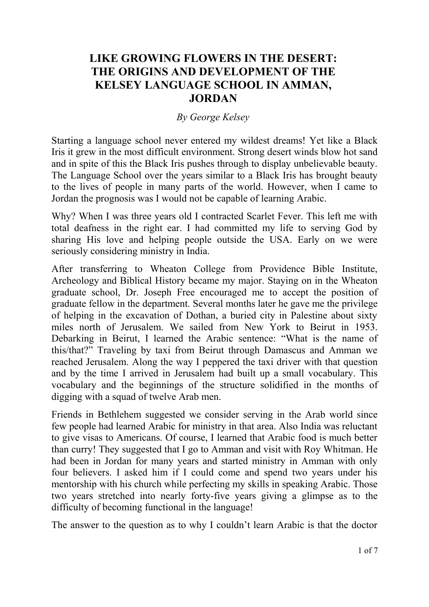## **LIKE GROWING FLOWERS IN THE DESERT: THE ORIGINS AND DEVELOPMENT OF THE KELSEY LANGUAGE SCHOOL IN AMMAN, JORDAN**

## *By George Kelsey*

Starting a language school never entered my wildest dreams! Yet like a Black Iris it grew in the most difficult environment. Strong desert winds blow hot sand and in spite of this the Black Iris pushes through to display unbelievable beauty. The Language School over the years similar to a Black Iris has brought beauty to the lives of people in many parts of the world. However, when I came to Jordan the prognosis was I would not be capable of learning Arabic.

Why? When I was three years old I contracted Scarlet Fever. This left me with total deafness in the right ear. I had committed my life to serving God by sharing His love and helping people outside the USA. Early on we were seriously considering ministry in India.

After transferring to Wheaton College from Providence Bible Institute, Archeology and Biblical History became my major. Staying on in the Wheaton graduate school, Dr. Joseph Free encouraged me to accept the position of graduate fellow in the department. Several months later he gave me the privilege of helping in the excavation of Dothan, a buried city in Palestine about sixty miles north of Jerusalem. We sailed from New York to Beirut in 1953. Debarking in Beirut, I learned the Arabic sentence: "What is the name of this/that?" Traveling by taxi from Beirut through Damascus and Amman we reached Jerusalem. Along the way I peppered the taxi driver with that question and by the time I arrived in Jerusalem had built up a small vocabulary. This vocabulary and the beginnings of the structure solidified in the months of digging with a squad of twelve Arab men.

Friends in Bethlehem suggested we consider serving in the Arab world since few people had learned Arabic for ministry in that area. Also India was reluctant to give visas to Americans. Of course, I learned that Arabic food is much better than curry! They suggested that I go to Amman and visit with Roy Whitman. He had been in Jordan for many years and started ministry in Amman with only four believers. I asked him if I could come and spend two years under his mentorship with his church while perfecting my skills in speaking Arabic. Those two years stretched into nearly forty-five years giving a glimpse as to the difficulty of becoming functional in the language!

The answer to the question as to why I couldn't learn Arabic is that the doctor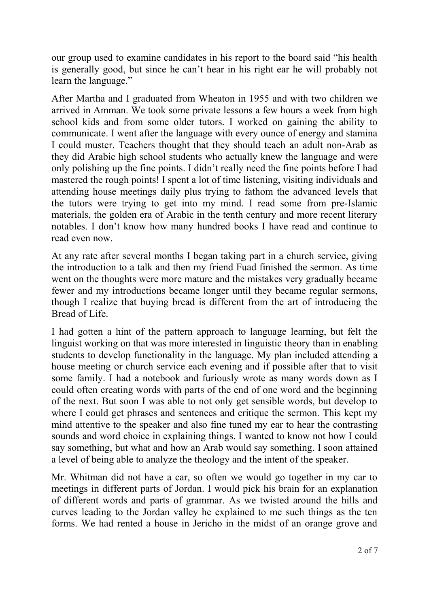our group used to examine candidates in his report to the board said "his health is generally good, but since he can't hear in his right ear he will probably not learn the language."

After Martha and I graduated from Wheaton in 1955 and with two children we arrived in Amman. We took some private lessons a few hours a week from high school kids and from some older tutors. I worked on gaining the ability to communicate. I went after the language with every ounce of energy and stamina I could muster. Teachers thought that they should teach an adult non-Arab as they did Arabic high school students who actually knew the language and were only polishing up the fine points. I didn't really need the fine points before I had mastered the rough points! I spent a lot of time listening, visiting individuals and attending house meetings daily plus trying to fathom the advanced levels that the tutors were trying to get into my mind. I read some from pre-Islamic materials, the golden era of Arabic in the tenth century and more recent literary notables. I don't know how many hundred books I have read and continue to read even now.

At any rate after several months I began taking part in a church service, giving the introduction to a talk and then my friend Fuad finished the sermon. As time went on the thoughts were more mature and the mistakes very gradually became fewer and my introductions became longer until they became regular sermons, though I realize that buying bread is different from the art of introducing the Bread of Life.

I had gotten a hint of the pattern approach to language learning, but felt the linguist working on that was more interested in linguistic theory than in enabling students to develop functionality in the language. My plan included attending a house meeting or church service each evening and if possible after that to visit some family. I had a notebook and furiously wrote as many words down as I could often creating words with parts of the end of one word and the beginning of the next. But soon I was able to not only get sensible words, but develop to where I could get phrases and sentences and critique the sermon. This kept my mind attentive to the speaker and also fine tuned my ear to hear the contrasting sounds and word choice in explaining things. I wanted to know not how I could say something, but what and how an Arab would say something. I soon attained a level of being able to analyze the theology and the intent of the speaker.

Mr. Whitman did not have a car, so often we would go together in my car to meetings in different parts of Jordan. I would pick his brain for an explanation of different words and parts of grammar. As we twisted around the hills and curves leading to the Jordan valley he explained to me such things as the ten forms. We had rented a house in Jericho in the midst of an orange grove and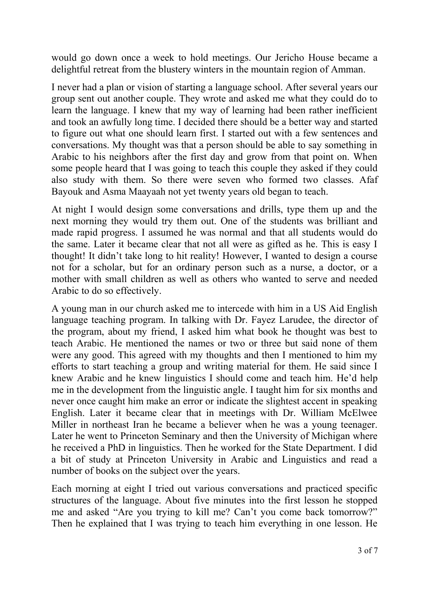would go down once a week to hold meetings. Our Jericho House became a delightful retreat from the blustery winters in the mountain region of Amman.

I never had a plan or vision of starting a language school. After several years our group sent out another couple. They wrote and asked me what they could do to learn the language. I knew that my way of learning had been rather inefficient and took an awfully long time. I decided there should be a better way and started to figure out what one should learn first. I started out with a few sentences and conversations. My thought was that a person should be able to say something in Arabic to his neighbors after the first day and grow from that point on. When some people heard that I was going to teach this couple they asked if they could also study with them. So there were seven who formed two classes. Afaf Bayouk and Asma Maayaah not yet twenty years old began to teach.

At night I would design some conversations and drills, type them up and the next morning they would try them out. One of the students was brilliant and made rapid progress. I assumed he was normal and that all students would do the same. Later it became clear that not all were as gifted as he. This is easy I thought! It didn't take long to hit reality! However, I wanted to design a course not for a scholar, but for an ordinary person such as a nurse, a doctor, or a mother with small children as well as others who wanted to serve and needed Arabic to do so effectively.

A young man in our church asked me to intercede with him in a US Aid English language teaching program. In talking with Dr. Fayez Larudee, the director of the program, about my friend, I asked him what book he thought was best to teach Arabic. He mentioned the names or two or three but said none of them were any good. This agreed with my thoughts and then I mentioned to him my efforts to start teaching a group and writing material for them. He said since I knew Arabic and he knew linguistics I should come and teach him. He'd help me in the development from the linguistic angle. I taught him for six months and never once caught him make an error or indicate the slightest accent in speaking English. Later it became clear that in meetings with Dr. William McElwee Miller in northeast Iran he became a believer when he was a young teenager. Later he went to Princeton Seminary and then the University of Michigan where he received a PhD in linguistics. Then he worked for the State Department. I did a bit of study at Princeton University in Arabic and Linguistics and read a number of books on the subject over the years.

Each morning at eight I tried out various conversations and practiced specific structures of the language. About five minutes into the first lesson he stopped me and asked "Are you trying to kill me? Can't you come back tomorrow?" Then he explained that I was trying to teach him everything in one lesson. He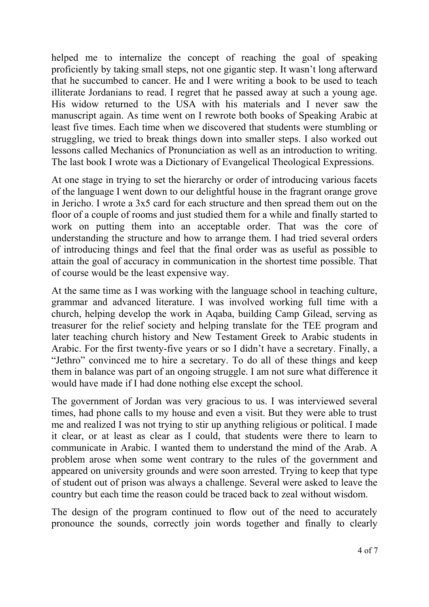helped me to internalize the concept of reaching the goal of speaking proficiently by taking small steps, not one gigantic step. It wasn't long afterward that he succumbed to cancer. He and I were writing a book to be used to teach illiterate Jordanians to read. I regret that he passed away at such a young age. His widow returned to the USA with his materials and I never saw the manuscript again. As time went on I rewrote both books of Speaking Arabic at least five times. Each time when we discovered that students were stumbling or struggling, we tried to break things down into smaller steps. I also worked out lessons called Mechanics of Pronunciation as well as an introduction to writing. The last book I wrote was a Dictionary of Evangelical Theological Expressions.

At one stage in trying to set the hierarchy or order of introducing various facets of the language I went down to our delightful house in the fragrant orange grove in Jericho. I wrote a 3x5 card for each structure and then spread them out on the floor of a couple of rooms and just studied them for a while and finally started to work on putting them into an acceptable order. That was the core of understanding the structure and how to arrange them. I had tried several orders of introducing things and feel that the final order was as useful as possible to attain the goal of accuracy in communication in the shortest time possible. That of course would be the least expensive way.

At the same time as I was working with the language school in teaching culture, grammar and advanced literature. I was involved working full time with a church, helping develop the work in Aqaba, building Camp Gilead, serving as treasurer for the relief society and helping translate for the TEE program and later teaching church history and New Testament Greek to Arabic students in Arabic. For the first twenty-five years or so I didn't have a secretary. Finally, a "Jethro" convinced me to hire a secretary. To do all of these things and keep them in balance was part of an ongoing struggle. I am not sure what difference it would have made if I had done nothing else except the school.

The government of Jordan was very gracious to us. I was interviewed several times, had phone calls to my house and even a visit. But they were able to trust me and realized I was not trying to stir up anything religious or political. I made it clear, or at least as clear as I could, that students were there to learn to communicate in Arabic. I wanted them to understand the mind of the Arab. A problem arose when some went contrary to the rules of the government and appeared on university grounds and were soon arrested. Trying to keep that type of student out of prison was always a challenge. Several were asked to leave the country but each time the reason could be traced back to zeal without wisdom.

The design of the program continued to flow out of the need to accurately pronounce the sounds, correctly join words together and finally to clearly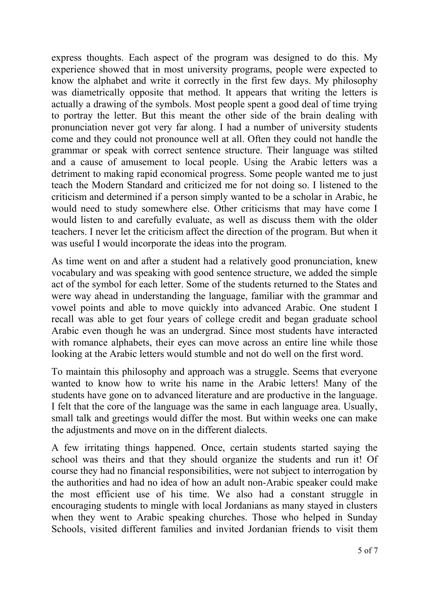express thoughts. Each aspect of the program was designed to do this. My experience showed that in most university programs, people were expected to know the alphabet and write it correctly in the first few days. My philosophy was diametrically opposite that method. It appears that writing the letters is actually a drawing of the symbols. Most people spent a good deal of time trying to portray the letter. But this meant the other side of the brain dealing with pronunciation never got very far along. I had a number of university students come and they could not pronounce well at all. Often they could not handle the grammar or speak with correct sentence structure. Their language was stilted and a cause of amusement to local people. Using the Arabic letters was a detriment to making rapid economical progress. Some people wanted me to just teach the Modern Standard and criticized me for not doing so. I listened to the criticism and determined if a person simply wanted to be a scholar in Arabic, he would need to study somewhere else. Other criticisms that may have come I would listen to and carefully evaluate, as well as discuss them with the older teachers. I never let the criticism affect the direction of the program. But when it was useful I would incorporate the ideas into the program.

As time went on and after a student had a relatively good pronunciation, knew vocabulary and was speaking with good sentence structure, we added the simple act of the symbol for each letter. Some of the students returned to the States and were way ahead in understanding the language, familiar with the grammar and vowel points and able to move quickly into advanced Arabic. One student I recall was able to get four years of college credit and began graduate school Arabic even though he was an undergrad. Since most students have interacted with romance alphabets, their eyes can move across an entire line while those looking at the Arabic letters would stumble and not do well on the first word.

To maintain this philosophy and approach was a struggle. Seems that everyone wanted to know how to write his name in the Arabic letters! Many of the students have gone on to advanced literature and are productive in the language. I felt that the core of the language was the same in each language area. Usually, small talk and greetings would differ the most. But within weeks one can make the adjustments and move on in the different dialects.

A few irritating things happened. Once, certain students started saying the school was theirs and that they should organize the students and run it! Of course they had no financial responsibilities, were not subject to interrogation by the authorities and had no idea of how an adult non-Arabic speaker could make the most efficient use of his time. We also had a constant struggle in encouraging students to mingle with local Jordanians as many stayed in clusters when they went to Arabic speaking churches. Those who helped in Sunday Schools, visited different families and invited Jordanian friends to visit them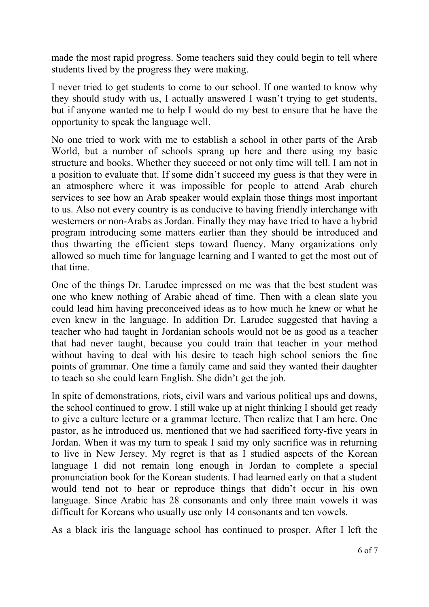made the most rapid progress. Some teachers said they could begin to tell where students lived by the progress they were making.

I never tried to get students to come to our school. If one wanted to know why they should study with us, I actually answered I wasn't trying to get students, but if anyone wanted me to help I would do my best to ensure that he have the opportunity to speak the language well.

No one tried to work with me to establish a school in other parts of the Arab World, but a number of schools sprang up here and there using my basic structure and books. Whether they succeed or not only time will tell. I am not in a position to evaluate that. If some didn't succeed my guess is that they were in an atmosphere where it was impossible for people to attend Arab church services to see how an Arab speaker would explain those things most important to us. Also not every country is as conducive to having friendly interchange with westerners or non-Arabs as Jordan. Finally they may have tried to have a hybrid program introducing some matters earlier than they should be introduced and thus thwarting the efficient steps toward fluency. Many organizations only allowed so much time for language learning and I wanted to get the most out of that time.

One of the things Dr. Larudee impressed on me was that the best student was one who knew nothing of Arabic ahead of time. Then with a clean slate you could lead him having preconceived ideas as to how much he knew or what he even knew in the language. In addition Dr. Larudee suggested that having a teacher who had taught in Jordanian schools would not be as good as a teacher that had never taught, because you could train that teacher in your method without having to deal with his desire to teach high school seniors the fine points of grammar. One time a family came and said they wanted their daughter to teach so she could learn English. She didn't get the job.

In spite of demonstrations, riots, civil wars and various political ups and downs, the school continued to grow. I still wake up at night thinking I should get ready to give a culture lecture or a grammar lecture. Then realize that I am here. One pastor, as he introduced us, mentioned that we had sacrificed forty-five years in Jordan. When it was my turn to speak I said my only sacrifice was in returning to live in New Jersey. My regret is that as I studied aspects of the Korean language I did not remain long enough in Jordan to complete a special pronunciation book for the Korean students. I had learned early on that a student would tend not to hear or reproduce things that didn't occur in his own language. Since Arabic has 28 consonants and only three main vowels it was difficult for Koreans who usually use only 14 consonants and ten vowels.

As a black iris the language school has continued to prosper. After I left the